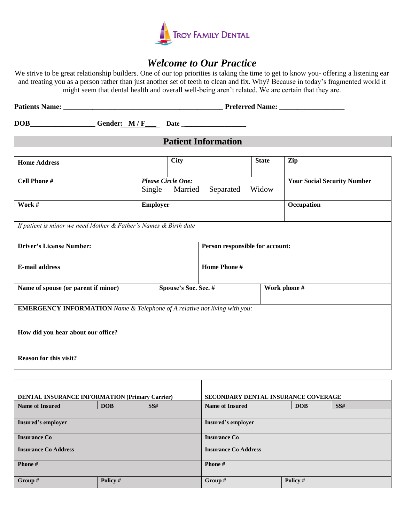

## *Welcome to Our Practice*

We strive to be great relationship builders. One of our top priorities is taking the time to get to know you- offering a listening ear and treating you as a person rather than just another set of teeth to clean and fix. Why? Because in today's fragmented world it might seem that dental health and overall well-being aren't related. We are certain that they are.

| <b>Patients Name:</b> | <b>Preferred Name:</b> |
|-----------------------|------------------------|
|                       |                        |

**DOB\_\_\_\_\_\_\_\_\_\_\_\_\_\_\_\_\_\_ Gender: M / F\_\_\_ Date \_\_\_\_\_\_\_\_\_\_\_\_\_\_\_\_\_\_** 

## **Patient Information**

| <b>Home Address</b>                                                              | <b>City</b>               |                                 | <b>State</b> | Zip                                |  |
|----------------------------------------------------------------------------------|---------------------------|---------------------------------|--------------|------------------------------------|--|
|                                                                                  |                           |                                 |              |                                    |  |
| <b>Cell Phone #</b>                                                              | <b>Please Circle One:</b> |                                 |              | <b>Your Social Security Number</b> |  |
|                                                                                  | Single<br>Married         | Separated                       | Widow        |                                    |  |
| Work #                                                                           | <b>Employer</b>           |                                 |              | Occupation                         |  |
|                                                                                  |                           |                                 |              |                                    |  |
| If patient is minor we need Mother & Father's Names & Birth date                 |                           |                                 |              |                                    |  |
|                                                                                  |                           |                                 |              |                                    |  |
| <b>Driver's License Number:</b>                                                  |                           | Person responsible for account: |              |                                    |  |
|                                                                                  |                           |                                 |              |                                    |  |
| <b>E-mail address</b>                                                            |                           | Home Phone #                    |              |                                    |  |
|                                                                                  |                           |                                 |              |                                    |  |
| Spouse's Soc. Sec. #<br>Name of spouse (or parent if minor)                      |                           | Work phone #                    |              |                                    |  |
|                                                                                  |                           |                                 |              |                                    |  |
| <b>EMERGENCY INFORMATION</b> Name & Telephone of A relative not living with you: |                           |                                 |              |                                    |  |
|                                                                                  |                           |                                 |              |                                    |  |
| How did you hear about our office?                                               |                           |                                 |              |                                    |  |
|                                                                                  |                           |                                 |              |                                    |  |
| <b>Reason for this visit?</b>                                                    |                           |                                 |              |                                    |  |
|                                                                                  |                           |                                 |              |                                    |  |

| <b>DENTAL INSURANCE INFORMATION (Primary Carrier)</b> |            | SECONDARY DENTAL INSURANCE COVERAGE |                        |            |            |
|-------------------------------------------------------|------------|-------------------------------------|------------------------|------------|------------|
| <b>Name of Insured</b>                                | <b>DOB</b> | SS#                                 | <b>Name of Insured</b> | <b>DOB</b> | <b>SS#</b> |
|                                                       |            |                                     |                        |            |            |
| Insured's employer                                    |            | Insured's employer                  |                        |            |            |
|                                                       |            |                                     |                        |            |            |
| <b>Insurance Co</b>                                   |            | <b>Insurance Co</b>                 |                        |            |            |
| <b>Insurance Co Address</b>                           |            | <b>Insurance Co Address</b>         |                        |            |            |
|                                                       |            |                                     |                        |            |            |
| Phone#                                                |            | Phone#                              |                        |            |            |
|                                                       |            |                                     |                        |            |            |
| Group #                                               | Policy #   |                                     | Group $#$              | Policy #   |            |
|                                                       |            |                                     |                        |            |            |